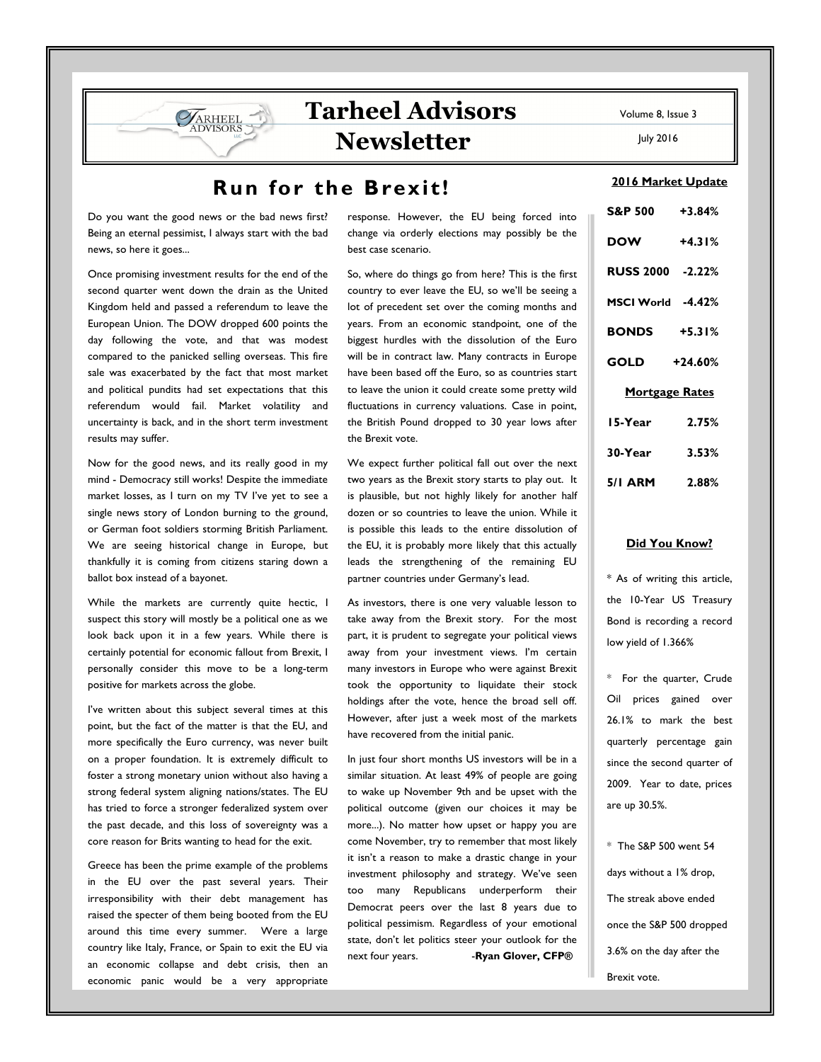# **Tarheel Advisors Newsletter**

## **Run for the Brexit!**

Do you want the good news or the bad news first? Being an eternal pessimist, I always start with the bad news, so here it goes...

ARHEEL **VISORS** 

Once promising investment results for the end of the second quarter went down the drain as the United Kingdom held and passed a referendum to leave the European Union. The DOW dropped 600 points the day following the vote, and that was modest compared to the panicked selling overseas. This fire sale was exacerbated by the fact that most market and political pundits had set expectations that this referendum would fail. Market volatility and uncertainty is back, and in the short term investment results may suffer.

Now for the good news, and its really good in my mind - Democracy still works! Despite the immediate market losses, as I turn on my TV I've yet to see a single news story of London burning to the ground, or German foot soldiers storming British Parliament. We are seeing historical change in Europe, but thankfully it is coming from citizens staring down a ballot box instead of a bayonet.

While the markets are currently quite hectic, I suspect this story will mostly be a political one as we look back upon it in a few years. While there is certainly potential for economic fallout from Brexit, I personally consider this move to be a long-term positive for markets across the globe.

I've written about this subject several times at this point, but the fact of the matter is that the EU, and more specifically the Euro currency, was never built on a proper foundation. It is extremely difficult to foster a strong monetary union without also having a strong federal system aligning nations/states. The EU has tried to force a stronger federalized system over the past decade, and this loss of sovereignty was a core reason for Brits wanting to head for the exit.

Greece has been the prime example of the problems in the EU over the past several years. Their irresponsibility with their debt management has raised the specter of them being booted from the EU around this time every summer. Were a large country like Italy, France, or Spain to exit the EU via an economic collapse and debt crisis, then an economic panic would be a very appropriate

response. However, the EU being forced into change via orderly elections may possibly be the best case scenario.

So, where do things go from here? This is the first country to ever leave the EU, so we'll be seeing a lot of precedent set over the coming months and years. From an economic standpoint, one of the biggest hurdles with the dissolution of the Euro will be in contract law. Many contracts in Europe have been based off the Euro, so as countries start to leave the union it could create some pretty wild fluctuations in currency valuations. Case in point, the British Pound dropped to 30 year lows after the Brexit vote.

We expect further political fall out over the next two years as the Brexit story starts to play out. It is plausible, but not highly likely for another half dozen or so countries to leave the union. While it is possible this leads to the entire dissolution of the EU, it is probably more likely that this actually leads the strengthening of the remaining EU partner countries under Germany's lead.

As investors, there is one very valuable lesson to take away from the Brexit story. For the most part, it is prudent to segregate your political views away from your investment views. I'm certain many investors in Europe who were against Brexit took the opportunity to liquidate their stock holdings after the vote, hence the broad sell off. However, after just a week most of the markets have recovered from the initial panic.

In just four short months US investors will be in a similar situation. At least 49% of people are going to wake up November 9th and be upset with the political outcome (given our choices it may be more...). No matter how upset or happy you are come November, try to remember that most likely it isn't a reason to make a drastic change in your investment philosophy and strategy. We've seen too many Republicans underperform their Democrat peers over the last 8 years due to political pessimism. Regardless of your emotional state, don't let politics steer your outlook for the next four years. -**Ryan Glover, CFP®** 

Volume 8, Issue 3

July 2016

#### **2016 Market Update**

| S&P 500 +3.84%        |          |
|-----------------------|----------|
| <b>DOW</b>            | $+4.31%$ |
| RUSS 2000 -2.22%      |          |
| MSCI World -4.42%     |          |
| <b>BONDS</b> +5.31%   |          |
| GOLD +24.60%          |          |
| <u>Mortgage Rates</u> |          |
| 15-Year               | 2.75%    |
| 30-Year               | 3.53%    |
| 5/I ARM 2.88%         |          |

#### **Did You Know?**

\* As of writing this article, the 10-Year US Treasury Bond is recording a record low yield of 1.366%

\* For the quarter, Crude Oil prices gained over 26.1% to mark the best quarterly percentage gain since the second quarter of 2009. Year to date, prices are up 30.5%.

\* The S&P 500 went 54 days without a 1% drop, The streak above ended once the S&P 500 dropped 3.6% on the day after the Brexit vote.